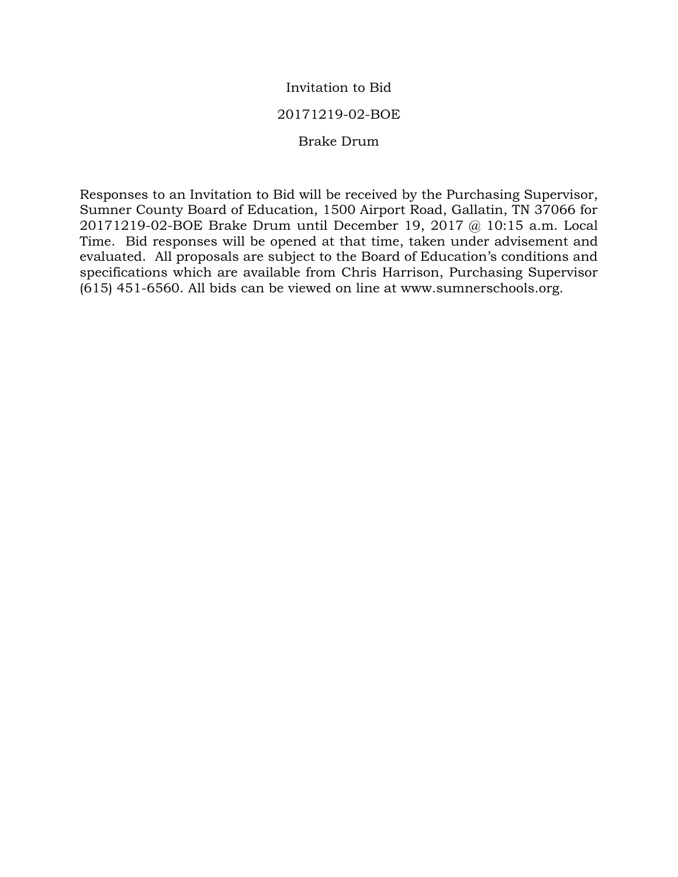# Invitation to Bid

# 20171219-02-BOE

# Brake Drum

Responses to an Invitation to Bid will be received by the Purchasing Supervisor, Sumner County Board of Education, 1500 Airport Road, Gallatin, TN 37066 for 20171219-02-BOE Brake Drum until December 19, 2017 @ 10:15 a.m. Local Time. Bid responses will be opened at that time, taken under advisement and evaluated. All proposals are subject to the Board of Education's conditions and specifications which are available from Chris Harrison, Purchasing Supervisor (615) 451-6560. All bids can be viewed on line at www.sumnerschools.org.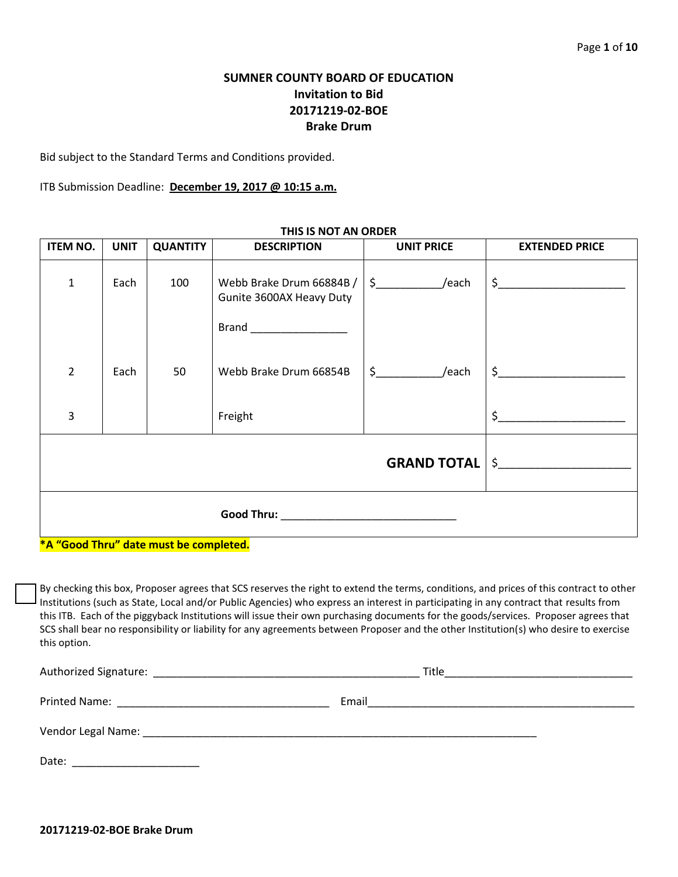# **SUMNER COUNTY BOARD OF EDUCATION Invitation to Bid 20171219-02-BOE Brake Drum**

Bid subject to the Standard Terms and Conditions provided.

ITB Submission Deadline: **December 19, 2017 @ 10:15 a.m.**

| $\frac{1}{2}$ /each<br>Webb Brake Drum 66884B /<br>$\mathbf{1}$<br>Each<br>100<br>Gunite 3600AX Heavy Duty                                                                                         | <b>ITEM NO.</b> | <b>UNIT</b> | <b>QUANTITY</b> | <b>DESCRIPTION</b>     | <b>UNIT PRICE</b>     | <b>EXTENDED PRICE</b> |
|----------------------------------------------------------------------------------------------------------------------------------------------------------------------------------------------------|-----------------|-------------|-----------------|------------------------|-----------------------|-----------------------|
|                                                                                                                                                                                                    |                 |             |                 |                        |                       | $\frac{1}{2}$         |
| $\overline{2}$<br>Each                                                                                                                                                                             |                 |             | 50              | Webb Brake Drum 66854B | $\sin(2\theta)$ /each | $\sharp$              |
| \$<br>3<br>Freight                                                                                                                                                                                 |                 |             |                 |                        |                       |                       |
| <b>GRAND TOTAL  </b>                                                                                                                                                                               |                 |             |                 |                        |                       | $\sharp$              |
| <b>Good Thru: Cool Thru: Cool Thru: Cool Thru: Cool Thru: Cool Thru: Cool Thru: Cool Thru: Cool Thru: Cool Thru: Cool Thru: Cool Thru: Cool Thru: Cool Thru: Cool Thru: Cool Thru: Cool Thru: </b> |                 |             |                 |                        |                       |                       |

### **THIS IS NOT AN ORDER**

#### **\*A "Good Thru" date must be completed.**

By checking this box, Proposer agrees that SCS reserves the right to extend the terms, conditions, and prices of this contract to other Institutions (such as State, Local and/or Public Agencies) who express an interest in participating in any contract that results from this ITB. Each of the piggyback Institutions will issue their own purchasing documents for the goods/services. Proposer agrees that SCS shall bear no responsibility or liability for any agreements between Proposer and the other Institution(s) who desire to exercise this option.

| Authorized Signature:<br>the control of the control of the control of the control of the control of the control of the control of the control of the control of the control of the control of the control of the control of the control of the control | Title |
|--------------------------------------------------------------------------------------------------------------------------------------------------------------------------------------------------------------------------------------------------------|-------|
| Printed Name: The Contract of the Contract of the Contract of the Contract of the Contract of the Contract of the Contract of the Contract of the Contract of the Contract of the Contract of the Contract of the Contract of                          | Email |
| Vendor Legal Name: Name and South Alberta and South Alberta and South Alberta and South Alberta and South Alberta and South Alberta and South Alberta and South Alberta and South Alberta and South Alberta and South Alberta                          |       |
| Date:                                                                                                                                                                                                                                                  |       |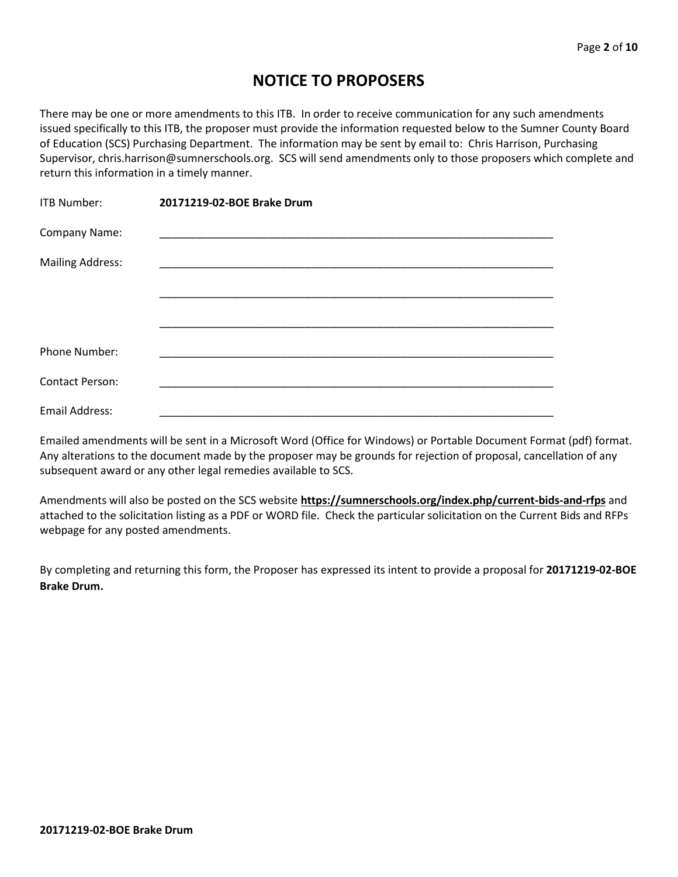# **NOTICE TO PROPOSERS**

There may be one or more amendments to this ITB. In order to receive communication for any such amendments issued specifically to this ITB, the proposer must provide the information requested below to the Sumner County Board of Education (SCS) Purchasing Department. The information may be sent by email to: Chris Harrison, Purchasing Supervisor, chris.harrison@sumnerschools.org. SCS will send amendments only to those proposers which complete and return this information in a timely manner.

| <b>ITB Number:</b>      | 20171219-02-BOE Brake Drum |
|-------------------------|----------------------------|
| Company Name:           |                            |
| <b>Mailing Address:</b> |                            |
|                         |                            |
|                         |                            |
| Phone Number:           |                            |
| <b>Contact Person:</b>  |                            |
| Email Address:          |                            |

Emailed amendments will be sent in a Microsoft Word (Office for Windows) or Portable Document Format (pdf) format. Any alterations to the document made by the proposer may be grounds for rejection of proposal, cancellation of any subsequent award or any other legal remedies available to SCS.

Amendments will also be posted on the SCS website **https://sumnerschools.org/index.php/current-bids-and-rfps** and attached to the solicitation listing as a PDF or WORD file. Check the particular solicitation on the Current Bids and RFPs webpage for any posted amendments.

By completing and returning this form, the Proposer has expressed its intent to provide a proposal for **20171219-02-BOE Brake Drum.**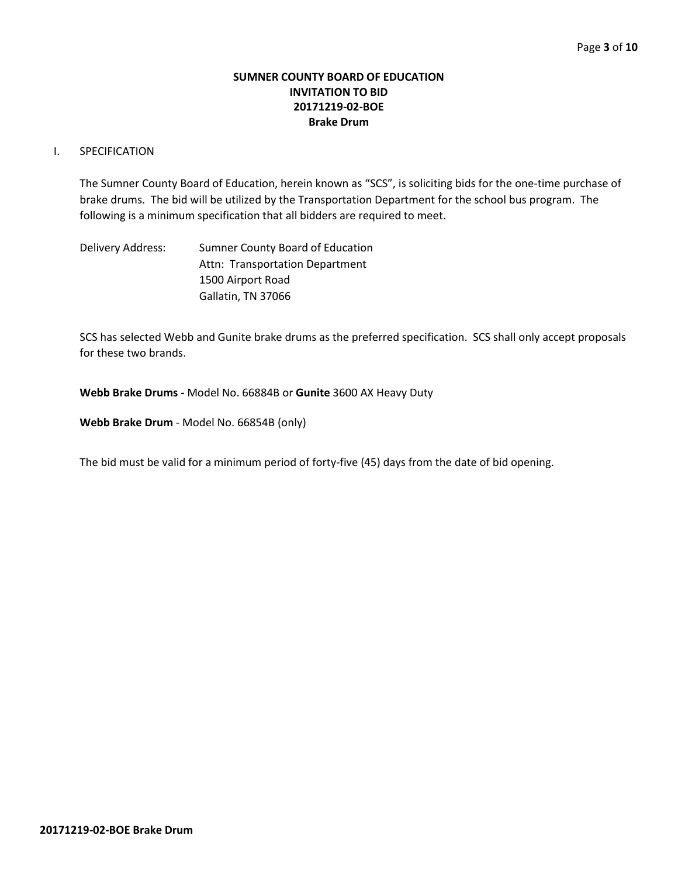## **SUMNER COUNTY BOARD OF EDUCATION INVITATION TO BID 20171219-02-BOE Brake Drum**

## I. SPECIFICATION

The Sumner County Board of Education, herein known as "SCS", is soliciting bids for the one-time purchase of brake drums. The bid will be utilized by the Transportation Department for the school bus program. The following is a minimum specification that all bidders are required to meet.

Delivery Address: Sumner County Board of Education Attn: Transportation Department 1500 Airport Road Gallatin, TN 37066

SCS has selected Webb and Gunite brake drums as the preferred specification. SCS shall only accept proposals for these two brands.

**Webb Brake Drums -** Model No. 66884B or **Gunite** 3600 AX Heavy Duty

**Webb Brake Drum** - Model No. 66854B (only)

The bid must be valid for a minimum period of forty-five (45) days from the date of bid opening.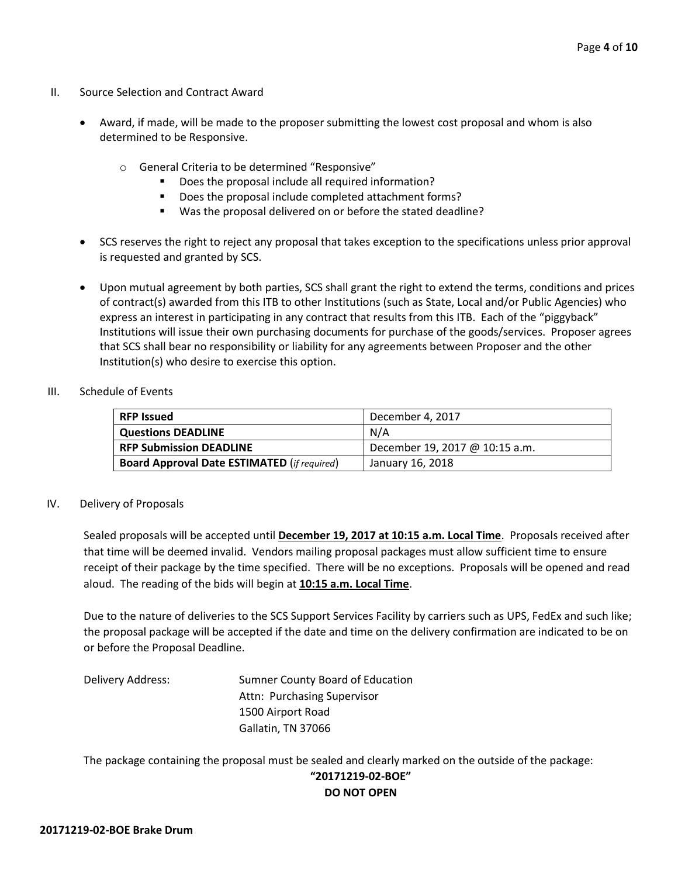- II. Source Selection and Contract Award
	- Award, if made, will be made to the proposer submitting the lowest cost proposal and whom is also determined to be Responsive.
		- o General Criteria to be determined "Responsive"
			- Does the proposal include all required information?
			- Does the proposal include completed attachment forms?
			- Was the proposal delivered on or before the stated deadline?
	- SCS reserves the right to reject any proposal that takes exception to the specifications unless prior approval is requested and granted by SCS.
	- Upon mutual agreement by both parties, SCS shall grant the right to extend the terms, conditions and prices of contract(s) awarded from this ITB to other Institutions (such as State, Local and/or Public Agencies) who express an interest in participating in any contract that results from this ITB. Each of the "piggyback" Institutions will issue their own purchasing documents for purchase of the goods/services. Proposer agrees that SCS shall bear no responsibility or liability for any agreements between Proposer and the other Institution(s) who desire to exercise this option.
- III. Schedule of Events

| <b>RFP Issued</b>                                  | December 4, 2017               |
|----------------------------------------------------|--------------------------------|
| <b>Questions DEADLINE</b>                          | N/A                            |
| <b>RFP Submission DEADLINE</b>                     | December 19, 2017 @ 10:15 a.m. |
| <b>Board Approval Date ESTIMATED (if required)</b> | January 16, 2018               |

#### IV. Delivery of Proposals

Sealed proposals will be accepted until **December 19, 2017 at 10:15 a.m. Local Time**. Proposals received after that time will be deemed invalid. Vendors mailing proposal packages must allow sufficient time to ensure receipt of their package by the time specified. There will be no exceptions. Proposals will be opened and read aloud. The reading of the bids will begin at **10:15 a.m. Local Time**.

Due to the nature of deliveries to the SCS Support Services Facility by carriers such as UPS, FedEx and such like; the proposal package will be accepted if the date and time on the delivery confirmation are indicated to be on or before the Proposal Deadline.

Delivery Address: Sumner County Board of Education Attn: Purchasing Supervisor 1500 Airport Road Gallatin, TN 37066

The package containing the proposal must be sealed and clearly marked on the outside of the package:

# **"20171219-02-BOE" DO NOT OPEN**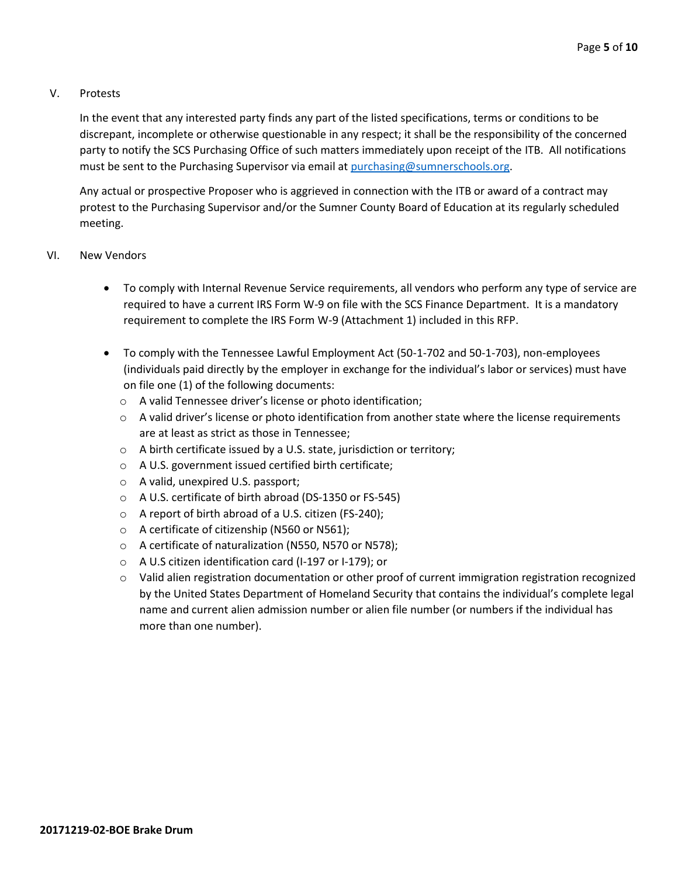## V. Protests

In the event that any interested party finds any part of the listed specifications, terms or conditions to be discrepant, incomplete or otherwise questionable in any respect; it shall be the responsibility of the concerned party to notify the SCS Purchasing Office of such matters immediately upon receipt of the ITB. All notifications must be sent to the Purchasing Supervisor via email at [purchasing@sumnerschools.org.](mailto:purchasing@sumnerschools.org)

Any actual or prospective Proposer who is aggrieved in connection with the ITB or award of a contract may protest to the Purchasing Supervisor and/or the Sumner County Board of Education at its regularly scheduled meeting.

## VI. New Vendors

- To comply with Internal Revenue Service requirements, all vendors who perform any type of service are required to have a current IRS Form W-9 on file with the SCS Finance Department. It is a mandatory requirement to complete the IRS Form W-9 (Attachment 1) included in this RFP.
- To comply with the Tennessee Lawful Employment Act (50-1-702 and 50-1-703), non-employees (individuals paid directly by the employer in exchange for the individual's labor or services) must have on file one (1) of the following documents:
	- o A valid Tennessee driver's license or photo identification;
	- $\circ$  A valid driver's license or photo identification from another state where the license requirements are at least as strict as those in Tennessee;
	- o A birth certificate issued by a U.S. state, jurisdiction or territory;
	- o A U.S. government issued certified birth certificate;
	- o A valid, unexpired U.S. passport;
	- o A U.S. certificate of birth abroad (DS-1350 or FS-545)
	- o A report of birth abroad of a U.S. citizen (FS-240);
	- o A certificate of citizenship (N560 or N561);
	- o A certificate of naturalization (N550, N570 or N578);
	- o A U.S citizen identification card (I-197 or I-179); or
	- o Valid alien registration documentation or other proof of current immigration registration recognized by the United States Department of Homeland Security that contains the individual's complete legal name and current alien admission number or alien file number (or numbers if the individual has more than one number).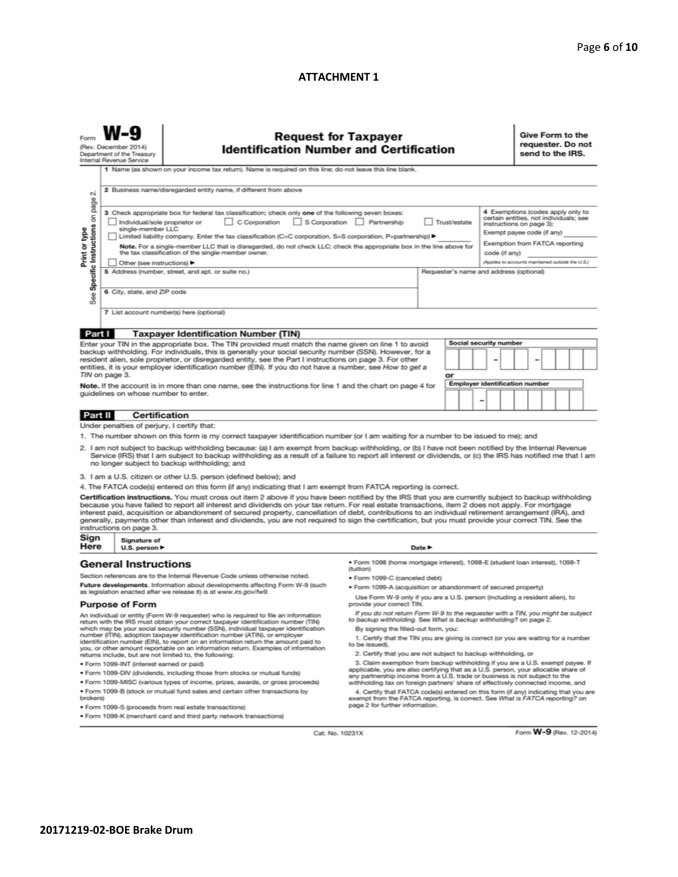### **ATTACHMENT 1**

|                                                                                                                                                                                                                                                                                                                                                          | (Rev. December 2014)<br>Department of the Treasury<br>Internal Revenue Service | <b>Request for Taxpayer</b><br><b>Identification Number and Certification</b>                                                                                                                                                                                                                                                                                                                                                                                                                                                                                                                                                 |                                                                                                                                                                       |                                                                                                                                                                                                                                                               |                        | Give Form to the<br>requester. Do not<br>send to the IRS.                     |
|----------------------------------------------------------------------------------------------------------------------------------------------------------------------------------------------------------------------------------------------------------------------------------------------------------------------------------------------------------|--------------------------------------------------------------------------------|-------------------------------------------------------------------------------------------------------------------------------------------------------------------------------------------------------------------------------------------------------------------------------------------------------------------------------------------------------------------------------------------------------------------------------------------------------------------------------------------------------------------------------------------------------------------------------------------------------------------------------|-----------------------------------------------------------------------------------------------------------------------------------------------------------------------|---------------------------------------------------------------------------------------------------------------------------------------------------------------------------------------------------------------------------------------------------------------|------------------------|-------------------------------------------------------------------------------|
|                                                                                                                                                                                                                                                                                                                                                          |                                                                                | 1 Name (as shown on your income tax return). Name is required on this line; do not leave this line blank.                                                                                                                                                                                                                                                                                                                                                                                                                                                                                                                     |                                                                                                                                                                       |                                                                                                                                                                                                                                                               |                        |                                                                               |
| $\sim$                                                                                                                                                                                                                                                                                                                                                   |                                                                                | 2 Business name/disregarded entity name, if different from above                                                                                                                                                                                                                                                                                                                                                                                                                                                                                                                                                              |                                                                                                                                                                       |                                                                                                                                                                                                                                                               |                        |                                                                               |
| page<br>Specific Instructions on<br>Print or type                                                                                                                                                                                                                                                                                                        | Individual/sole proprietor or<br>single-member LLC                             | 3 Check appropriate box for federal tax classification; check only one of the following seven boxes:<br>C Corporation<br>Limited liability company. Enter the tax classification (C=C corporation, S=S corporation, P=partnership) ▶<br>Note. For a single-member LLC that is disregarded, do not check LLC; check the appropriate box in the line above for<br>the tax classification of the single-member owner.                                                                                                                                                                                                            | S Corporation Partnership                                                                                                                                             | 4 Exemptions (codes apply only to<br>certain entities, not individuals; see<br>Trust/estate<br>instructions on page 3):<br>Exempt payee code (if any)<br>Exemption from FATCA reporting<br>code (if any)<br>(Applies to accounts maintained outside the U.S.) |                        |                                                                               |
| Other (see instructions) ▶<br>5 Address (number, street, and apt. or suite no.)<br>Requester's name and address (optional)                                                                                                                                                                                                                               |                                                                                |                                                                                                                                                                                                                                                                                                                                                                                                                                                                                                                                                                                                                               |                                                                                                                                                                       |                                                                                                                                                                                                                                                               |                        |                                                                               |
| <b>See</b>                                                                                                                                                                                                                                                                                                                                               | 6 City, state, and ZIP code                                                    |                                                                                                                                                                                                                                                                                                                                                                                                                                                                                                                                                                                                                               |                                                                                                                                                                       |                                                                                                                                                                                                                                                               |                        |                                                                               |
|                                                                                                                                                                                                                                                                                                                                                          |                                                                                | 7 List account number(s) here (optional)                                                                                                                                                                                                                                                                                                                                                                                                                                                                                                                                                                                      |                                                                                                                                                                       |                                                                                                                                                                                                                                                               |                        |                                                                               |
| Part I                                                                                                                                                                                                                                                                                                                                                   |                                                                                | <b>Taxpayer Identification Number (TIN)</b>                                                                                                                                                                                                                                                                                                                                                                                                                                                                                                                                                                                   |                                                                                                                                                                       |                                                                                                                                                                                                                                                               |                        |                                                                               |
|                                                                                                                                                                                                                                                                                                                                                          |                                                                                | Enter your TIN in the appropriate box. The TIN provided must match the name given on line 1 to avoid                                                                                                                                                                                                                                                                                                                                                                                                                                                                                                                          |                                                                                                                                                                       |                                                                                                                                                                                                                                                               | Social security number |                                                                               |
| backup withholding. For individuals, this is generally your social security number (SSN). However, for a<br>resident alien, sole proprietor, or disregarded entity, see the Part I instructions on page 3. For other<br>entities, it is your employer identification number (EIN). If you do not have a number, see How to get a<br>TIN on page 3.<br>or |                                                                                |                                                                                                                                                                                                                                                                                                                                                                                                                                                                                                                                                                                                                               |                                                                                                                                                                       |                                                                                                                                                                                                                                                               |                        |                                                                               |
| <b>Employer identification number</b><br>Note. If the account is in more than one name, see the instructions for line 1 and the chart on page 4 for<br>guidelines on whose number to enter.                                                                                                                                                              |                                                                                |                                                                                                                                                                                                                                                                                                                                                                                                                                                                                                                                                                                                                               |                                                                                                                                                                       |                                                                                                                                                                                                                                                               |                        |                                                                               |
| Part II                                                                                                                                                                                                                                                                                                                                                  |                                                                                | <b>Certification</b>                                                                                                                                                                                                                                                                                                                                                                                                                                                                                                                                                                                                          |                                                                                                                                                                       |                                                                                                                                                                                                                                                               |                        |                                                                               |
|                                                                                                                                                                                                                                                                                                                                                          | Under penalties of perjury, I certify that:                                    |                                                                                                                                                                                                                                                                                                                                                                                                                                                                                                                                                                                                                               |                                                                                                                                                                       |                                                                                                                                                                                                                                                               |                        |                                                                               |
|                                                                                                                                                                                                                                                                                                                                                          |                                                                                | 1. The number shown on this form is my correct taxpayer identification number (or I am waiting for a number to be issued to me); and                                                                                                                                                                                                                                                                                                                                                                                                                                                                                          |                                                                                                                                                                       |                                                                                                                                                                                                                                                               |                        |                                                                               |
|                                                                                                                                                                                                                                                                                                                                                          |                                                                                | 2. I am not subject to backup withholding because: (a) I am exempt from backup withholding, or (b) I have not been notified by the Internal Revenue<br>Service (IRS) that I am subject to backup withholding as a result of a failure to report all interest or dividends, or (c) the IRS has notified me that I am<br>no longer subject to backup withholding; and                                                                                                                                                                                                                                                           |                                                                                                                                                                       |                                                                                                                                                                                                                                                               |                        |                                                                               |
|                                                                                                                                                                                                                                                                                                                                                          |                                                                                | 3. I am a U.S. citizen or other U.S. person (defined below); and                                                                                                                                                                                                                                                                                                                                                                                                                                                                                                                                                              |                                                                                                                                                                       |                                                                                                                                                                                                                                                               |                        |                                                                               |
|                                                                                                                                                                                                                                                                                                                                                          |                                                                                | 4. The FATCA code(s) entered on this form (if any) indicating that I am exempt from FATCA reporting is correct.                                                                                                                                                                                                                                                                                                                                                                                                                                                                                                               |                                                                                                                                                                       |                                                                                                                                                                                                                                                               |                        |                                                                               |
|                                                                                                                                                                                                                                                                                                                                                          | instructions on page 3.                                                        | Certification instructions. You must cross out item 2 above if you have been notified by the IRS that you are currently subject to backup withholding<br>because you have failed to report all interest and dividends on your tax return. For real estate transactions, item 2 does not apply. For mortgage<br>interest paid, acquisition or abandonment of secured property, cancellation of debt, contributions to an individual retirement arrangement (IRA), and<br>generally, payments other than interest and dividends, you are not required to sign the certification, but you must provide your correct TIN. See the |                                                                                                                                                                       |                                                                                                                                                                                                                                                               |                        |                                                                               |
| Sign<br>Here                                                                                                                                                                                                                                                                                                                                             | Signature of<br>U.S. person $\blacktriangleright$                              |                                                                                                                                                                                                                                                                                                                                                                                                                                                                                                                                                                                                                               | Date $\blacktriangleright$                                                                                                                                            |                                                                                                                                                                                                                                                               |                        |                                                                               |
|                                                                                                                                                                                                                                                                                                                                                          | <b>General Instructions</b>                                                    |                                                                                                                                                                                                                                                                                                                                                                                                                                                                                                                                                                                                                               | · Form 1098 (home mortgage interest), 1098-E (student Ioan interest), 1098-T                                                                                          |                                                                                                                                                                                                                                                               |                        |                                                                               |
|                                                                                                                                                                                                                                                                                                                                                          |                                                                                |                                                                                                                                                                                                                                                                                                                                                                                                                                                                                                                                                                                                                               | (tuition)                                                                                                                                                             |                                                                                                                                                                                                                                                               |                        |                                                                               |
| Section references are to the Internal Revenue Code unless otherwise noted.<br>Future developments. Information about developments affecting Form W-9 (such                                                                                                                                                                                              |                                                                                |                                                                                                                                                                                                                                                                                                                                                                                                                                                                                                                                                                                                                               | · Form 1099-C (canceled debt)<br>· Form 1099-A (acquisition or abandonment of secured property)                                                                       |                                                                                                                                                                                                                                                               |                        |                                                                               |
| as legislation enacted after we release it) is at www.irs.gov/fw9.<br><b>Purpose of Form</b>                                                                                                                                                                                                                                                             |                                                                                |                                                                                                                                                                                                                                                                                                                                                                                                                                                                                                                                                                                                                               | Use Form W-9 only if you are a U.S. person (including a resident alien), to<br>provide your correct TIN.                                                              |                                                                                                                                                                                                                                                               |                        |                                                                               |
|                                                                                                                                                                                                                                                                                                                                                          |                                                                                | An individual or entity (Form W-9 requester) who is required to file an information<br>return with the IRS must obtain your correct taxpayer identification number (TIN)                                                                                                                                                                                                                                                                                                                                                                                                                                                      | If you do not return Form W-9 to the requester with a TIN, you might be subject<br>to backup withholding. See What is backup withholding? on page 2.                  |                                                                                                                                                                                                                                                               |                        |                                                                               |
|                                                                                                                                                                                                                                                                                                                                                          |                                                                                | which may be your social security number (SSN), individual taxpayer identification<br>number (ITIN), adoption taxpayer identification number (ATIN), or employer                                                                                                                                                                                                                                                                                                                                                                                                                                                              | By signing the filled-out form, you:                                                                                                                                  |                                                                                                                                                                                                                                                               |                        |                                                                               |
|                                                                                                                                                                                                                                                                                                                                                          |                                                                                | identification number (EIN), to report on an information return the amount paid to<br>you, or other amount reportable on an information return. Examples of information                                                                                                                                                                                                                                                                                                                                                                                                                                                       | 1. Certify that the TIN you are giving is correct (or you are waiting for a number<br>to be issued).<br>2. Certify that you are not subject to backup withholding, or |                                                                                                                                                                                                                                                               |                        |                                                                               |
|                                                                                                                                                                                                                                                                                                                                                          | · Form 1099-INT (interest earned or paid)                                      | returns include, but are not limited to, the following:                                                                                                                                                                                                                                                                                                                                                                                                                                                                                                                                                                       |                                                                                                                                                                       |                                                                                                                                                                                                                                                               |                        | 3. Claim exemption from backup withholding if you are a U.S. exempt payee. If |
|                                                                                                                                                                                                                                                                                                                                                          |                                                                                | . Form 1099-DIV (dividends, including those from stocks or mutual funds)                                                                                                                                                                                                                                                                                                                                                                                                                                                                                                                                                      | applicable, you are also certifying that as a U.S. person, your allocable share of                                                                                    |                                                                                                                                                                                                                                                               |                        |                                                                               |

· Form 1099-S (proceeds from real estate transactions)

. Form 1099-K (merchant card and third party network transactions)

• Form 1099-DIV (dividends, including those from stocks or mutual funds)<br>
• Form 1099-MISC (various types of income, prizes, awards, or gross proceeds)<br>
• Form 1099-MISC (various types of income, prizes, awards, or gross

Cat. No. 10231X

Form W-9 (Rev. 12-2014)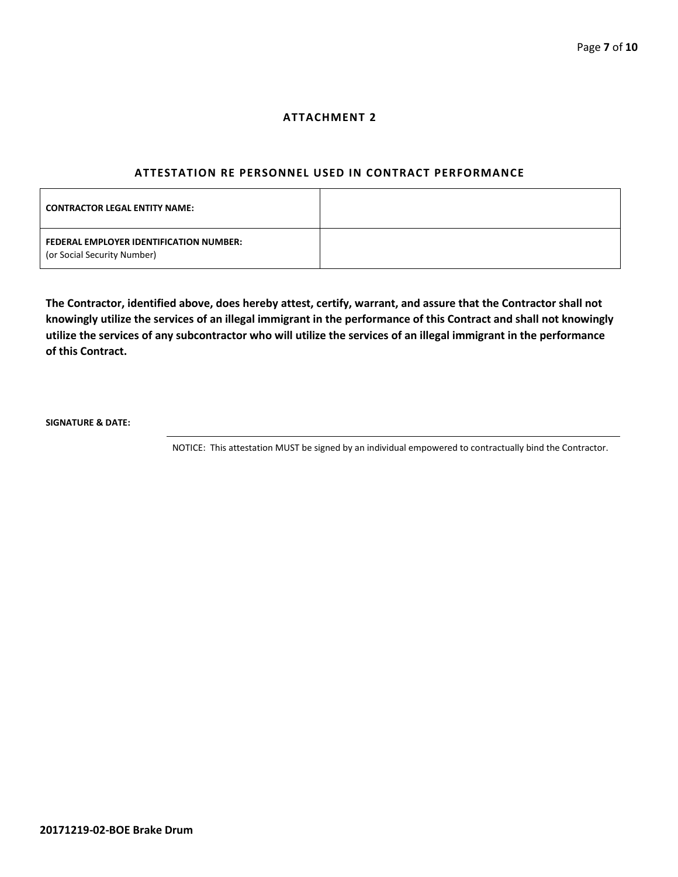#### **ATTACHMENT 2**

#### **ATTESTATION RE PERSONNEL USED IN CONTRACT PERFORMANCE**

| <b>CONTRACTOR LEGAL ENTITY NAME:</b>                                   |  |
|------------------------------------------------------------------------|--|
| FEDERAL EMPLOYER IDENTIFICATION NUMBER:<br>(or Social Security Number) |  |

**The Contractor, identified above, does hereby attest, certify, warrant, and assure that the Contractor shall not knowingly utilize the services of an illegal immigrant in the performance of this Contract and shall not knowingly utilize the services of any subcontractor who will utilize the services of an illegal immigrant in the performance of this Contract.**

**SIGNATURE & DATE:**

NOTICE: This attestation MUST be signed by an individual empowered to contractually bind the Contractor.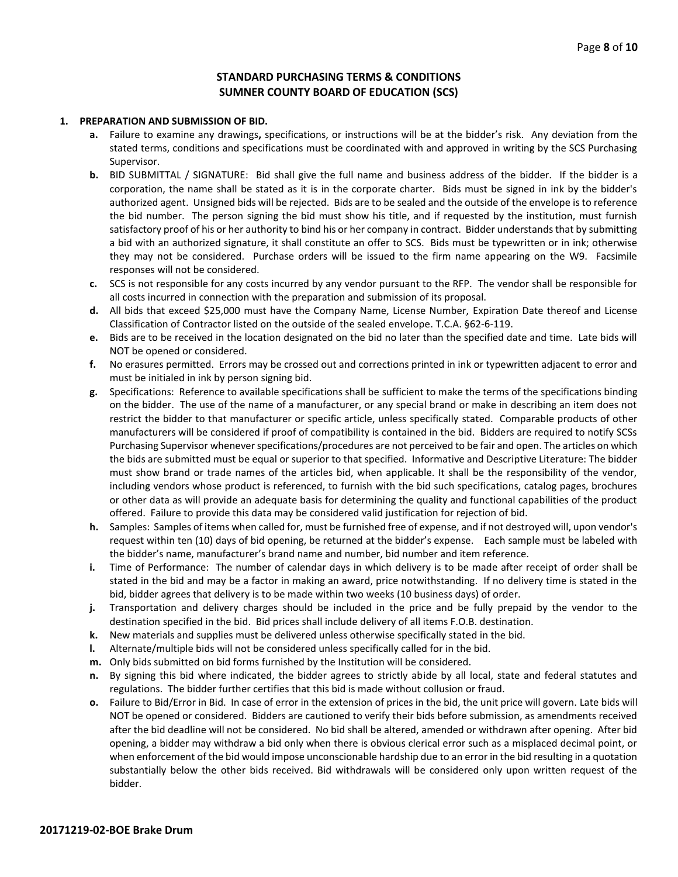## **STANDARD PURCHASING TERMS & CONDITIONS SUMNER COUNTY BOARD OF EDUCATION (SCS)**

#### **1. PREPARATION AND SUBMISSION OF BID.**

- **a.** Failure to examine any drawings**,** specifications, or instructions will be at the bidder's risk. Any deviation from the stated terms, conditions and specifications must be coordinated with and approved in writing by the SCS Purchasing Supervisor.
- **b.** BID SUBMITTAL / SIGNATURE: Bid shall give the full name and business address of the bidder. If the bidder is a corporation, the name shall be stated as it is in the corporate charter. Bids must be signed in ink by the bidder's authorized agent. Unsigned bids will be rejected. Bids are to be sealed and the outside of the envelope is to reference the bid number. The person signing the bid must show his title, and if requested by the institution, must furnish satisfactory proof of his or her authority to bind his or her company in contract. Bidder understands that by submitting a bid with an authorized signature, it shall constitute an offer to SCS. Bids must be typewritten or in ink; otherwise they may not be considered. Purchase orders will be issued to the firm name appearing on the W9. Facsimile responses will not be considered.
- **c.** SCS is not responsible for any costs incurred by any vendor pursuant to the RFP. The vendor shall be responsible for all costs incurred in connection with the preparation and submission of its proposal.
- **d.** All bids that exceed \$25,000 must have the Company Name, License Number, Expiration Date thereof and License Classification of Contractor listed on the outside of the sealed envelope. T.C.A. §62-6-119.
- **e.** Bids are to be received in the location designated on the bid no later than the specified date and time. Late bids will NOT be opened or considered.
- **f.** No erasures permitted. Errors may be crossed out and corrections printed in ink or typewritten adjacent to error and must be initialed in ink by person signing bid.
- **g.** Specifications: Reference to available specifications shall be sufficient to make the terms of the specifications binding on the bidder. The use of the name of a manufacturer, or any special brand or make in describing an item does not restrict the bidder to that manufacturer or specific article, unless specifically stated. Comparable products of other manufacturers will be considered if proof of compatibility is contained in the bid. Bidders are required to notify SCSs Purchasing Supervisor whenever specifications/procedures are not perceived to be fair and open. The articles on which the bids are submitted must be equal or superior to that specified. Informative and Descriptive Literature: The bidder must show brand or trade names of the articles bid, when applicable. It shall be the responsibility of the vendor, including vendors whose product is referenced, to furnish with the bid such specifications, catalog pages, brochures or other data as will provide an adequate basis for determining the quality and functional capabilities of the product offered. Failure to provide this data may be considered valid justification for rejection of bid.
- **h.** Samples: Samples of items when called for, must be furnished free of expense, and if not destroyed will, upon vendor's request within ten (10) days of bid opening, be returned at the bidder's expense. Each sample must be labeled with the bidder's name, manufacturer's brand name and number, bid number and item reference.
- **i.** Time of Performance: The number of calendar days in which delivery is to be made after receipt of order shall be stated in the bid and may be a factor in making an award, price notwithstanding. If no delivery time is stated in the bid, bidder agrees that delivery is to be made within two weeks (10 business days) of order.
- **j.** Transportation and delivery charges should be included in the price and be fully prepaid by the vendor to the destination specified in the bid. Bid prices shall include delivery of all items F.O.B. destination.
- **k.** New materials and supplies must be delivered unless otherwise specifically stated in the bid.
- **l.** Alternate/multiple bids will not be considered unless specifically called for in the bid.
- **m.** Only bids submitted on bid forms furnished by the Institution will be considered.
- **n.** By signing this bid where indicated, the bidder agrees to strictly abide by all local, state and federal statutes and regulations. The bidder further certifies that this bid is made without collusion or fraud.
- **o.** Failure to Bid/Error in Bid. In case of error in the extension of prices in the bid, the unit price will govern. Late bids will NOT be opened or considered. Bidders are cautioned to verify their bids before submission, as amendments received after the bid deadline will not be considered. No bid shall be altered, amended or withdrawn after opening. After bid opening, a bidder may withdraw a bid only when there is obvious clerical error such as a misplaced decimal point, or when enforcement of the bid would impose unconscionable hardship due to an error in the bid resulting in a quotation substantially below the other bids received. Bid withdrawals will be considered only upon written request of the bidder.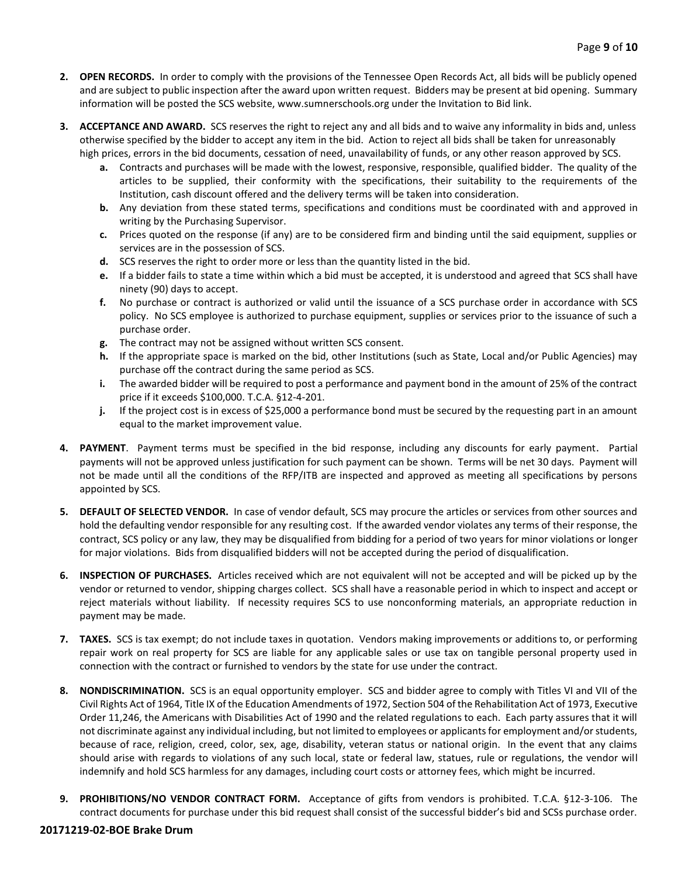- **2. OPEN RECORDS.** In order to comply with the provisions of the Tennessee Open Records Act, all bids will be publicly opened and are subject to public inspection after the award upon written request. Bidders may be present at bid opening. Summary information will be posted the SCS website, www.sumnerschools.org under the Invitation to Bid link.
- **3. ACCEPTANCE AND AWARD.** SCS reserves the right to reject any and all bids and to waive any informality in bids and, unless otherwise specified by the bidder to accept any item in the bid. Action to reject all bids shall be taken for unreasonably high prices, errors in the bid documents, cessation of need, unavailability of funds, or any other reason approved by SCS.
	- **a.** Contracts and purchases will be made with the lowest, responsive, responsible, qualified bidder. The quality of the articles to be supplied, their conformity with the specifications, their suitability to the requirements of the Institution, cash discount offered and the delivery terms will be taken into consideration.
	- **b.** Any deviation from these stated terms, specifications and conditions must be coordinated with and approved in writing by the Purchasing Supervisor.
	- **c.** Prices quoted on the response (if any) are to be considered firm and binding until the said equipment, supplies or services are in the possession of SCS.
	- **d.** SCS reserves the right to order more or less than the quantity listed in the bid.
	- **e.** If a bidder fails to state a time within which a bid must be accepted, it is understood and agreed that SCS shall have ninety (90) days to accept.
	- **f.** No purchase or contract is authorized or valid until the issuance of a SCS purchase order in accordance with SCS policy. No SCS employee is authorized to purchase equipment, supplies or services prior to the issuance of such a purchase order.
	- **g.** The contract may not be assigned without written SCS consent.
	- **h.** If the appropriate space is marked on the bid, other Institutions (such as State, Local and/or Public Agencies) may purchase off the contract during the same period as SCS.
	- **i.** The awarded bidder will be required to post a performance and payment bond in the amount of 25% of the contract price if it exceeds \$100,000. T.C.A. §12-4-201.
	- **j.** If the project cost is in excess of \$25,000 a performance bond must be secured by the requesting part in an amount equal to the market improvement value.
- **4. PAYMENT**. Payment terms must be specified in the bid response, including any discounts for early payment. Partial payments will not be approved unless justification for such payment can be shown. Terms will be net 30 days. Payment will not be made until all the conditions of the RFP/ITB are inspected and approved as meeting all specifications by persons appointed by SCS.
- **5. DEFAULT OF SELECTED VENDOR.** In case of vendor default, SCS may procure the articles or services from other sources and hold the defaulting vendor responsible for any resulting cost. If the awarded vendor violates any terms of their response, the contract, SCS policy or any law, they may be disqualified from bidding for a period of two years for minor violations or longer for major violations. Bids from disqualified bidders will not be accepted during the period of disqualification.
- **6. INSPECTION OF PURCHASES.** Articles received which are not equivalent will not be accepted and will be picked up by the vendor or returned to vendor, shipping charges collect. SCS shall have a reasonable period in which to inspect and accept or reject materials without liability. If necessity requires SCS to use nonconforming materials, an appropriate reduction in payment may be made.
- **7. TAXES.** SCS is tax exempt; do not include taxes in quotation. Vendors making improvements or additions to, or performing repair work on real property for SCS are liable for any applicable sales or use tax on tangible personal property used in connection with the contract or furnished to vendors by the state for use under the contract.
- **8. NONDISCRIMINATION.** SCS is an equal opportunity employer. SCS and bidder agree to comply with Titles VI and VII of the Civil Rights Act of 1964, Title IX of the Education Amendments of 1972, Section 504 of the Rehabilitation Act of 1973, Executive Order 11,246, the Americans with Disabilities Act of 1990 and the related regulations to each. Each party assures that it will not discriminate against any individual including, but not limited to employees or applicants for employment and/or students, because of race, religion, creed, color, sex, age, disability, veteran status or national origin. In the event that any claims should arise with regards to violations of any such local, state or federal law, statues, rule or regulations, the vendor will indemnify and hold SCS harmless for any damages, including court costs or attorney fees, which might be incurred.
- **9. PROHIBITIONS/NO VENDOR CONTRACT FORM.** Acceptance of gifts from vendors is prohibited. T.C.A. §12-3-106. The contract documents for purchase under this bid request shall consist of the successful bidder's bid and SCSs purchase order.